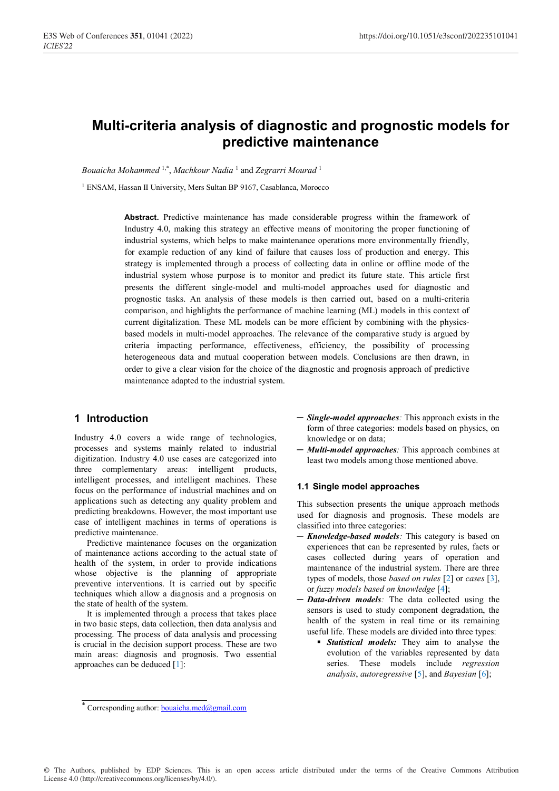# **Multi-criteria analysis of diagnostic and prognostic models for predictive maintenance**

*Bouaicha Mohammed* 1,\*, *Machkour Nadia* <sup>1</sup> and *Zegrarri Mourad* <sup>1</sup>

<sup>1</sup> ENSAM, Hassan II University, Mers Sultan BP 9167, Casablanca, Morocco

**Abstract.** Predictive maintenance has made considerable progress within the framework of Industry 4.0, making this strategy an effective means of monitoring the proper functioning of industrial systems, which helps to make maintenance operations more environmentally friendly, for example reduction of any kind of failure that causes loss of production and energy. This strategy is implemented through a process of collecting data in online or offline mode of the industrial system whose purpose is to monitor and predict its future state. This article first presents the different single-model and multi-model approaches used for diagnostic and prognostic tasks. An analysis of these models is then carried out, based on a multi-criteria comparison, and highlights the performance of machine learning (ML) models in this context of current digitalization. These ML models can be more efficient by combining with the physicsbased models in multi-model approaches. The relevance of the comparative study is argued by criteria impacting performance, effectiveness, efficiency, the possibility of processing heterogeneous data and mutual cooperation between models. Conclusions are then drawn, in order to give a clear vision for the choice of the diagnostic and prognosis approach of predictive maintenance adapted to the industrial system.

## **1 Introduction**

Industry 4.0 covers a wide range of technologies, processes and systems mainly related to industrial digitization. Industry 4.0 use cases are categorized into three complementary areas: intelligent products, intelligent processes, and intelligent machines. These focus on the performance of industrial machines and on applications such as detecting any quality problem and predicting breakdowns. However, the most important use case of intelligent machines in terms of operations is predictive maintenance.

Predictive maintenance focuses on the organization of maintenance actions according to the actual state of health of the system, in order to provide indications whose objective is the planning of appropriate preventive interventions. It is carried out by specific techniques which allow a diagnosis and a prognosis on the state of health of the system.

It is implemented through a process that takes place in two basic steps, data collection, then data analysis and processing. The process of data analysis and processing is crucial in the decision support process. These are two main areas: diagnosis and prognosis. Two essential approaches can be deduced [1]:

- ─ *Single-model approaches:* This approach exists in the form of three categories: models based on physics, on knowledge or on data;
- ─ *Multi-model approaches:* This approach combines at least two models among those mentioned above.

#### **1.1 Single model approaches**

This subsection presents the unique approach methods used for diagnosis and prognosis. These models are classified into three categories:

- ─ *Knowledge-based models:* This category is based on experiences that can be represented by rules, facts or cases collected during years of operation and maintenance of the industrial system. There are three types of models, those *based on rules* [2] or *cases* [3], or *fuzzy models based on knowledge* [4];
- ─ *Data-driven models:* The data collected using the sensors is used to study component degradation, the health of the system in real time or its remaining useful life. These models are divided into three types:
	- *Statistical models:* They aim to analyse the evolution of the variables represented by data series. These models include *regression analysis*, *autoregressive* [5], and *Bayesian* [6];

<sup>\*</sup> Corresponding author: **bouaicha.med@gmail.com**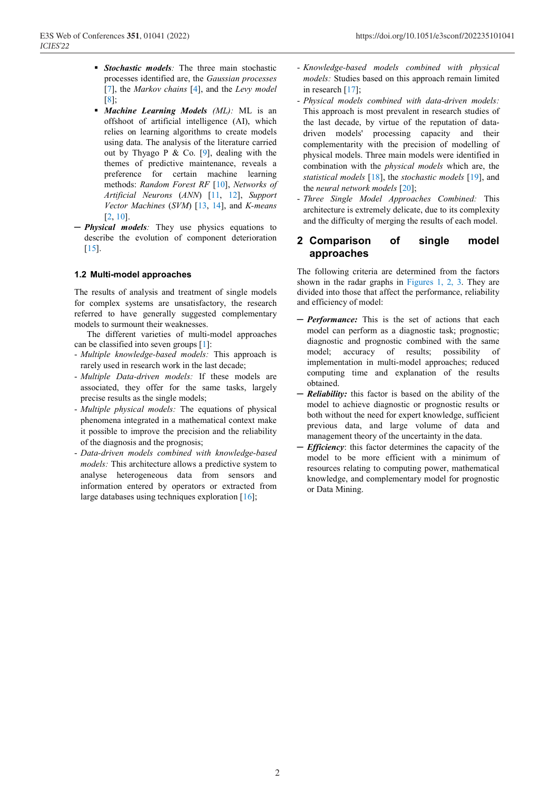- *Stochastic models:* The three main stochastic processes identified are, the *Gaussian processes* [7], the *Markov chains* [4], and the *Levy model*  [8];
- *Machine Learning Models (ML):* ML is an offshoot of artificial intelligence (AI), which relies on learning algorithms to create models using data. The analysis of the literature carried out by Thyago P & Co. [9], dealing with the themes of predictive maintenance, reveals a preference for certain machine learning methods: *Random Forest RF* [10], *Networks of Artificial Neurons* (*ANN*) [11, 12], *Support Vector Machines* (*SVM*) [13, 14], and *K-means* [2, 10].
- ─ *Physical models:* They use physics equations to describe the evolution of component deterioration [15].

#### **1.2 Multi-model approaches**

The results of analysis and treatment of single models for complex systems are unsatisfactory, the research referred to have generally suggested complementary models to surmount their weaknesses.

The different varieties of multi-model approaches can be classified into seven groups [1]:

- *Multiple knowledge-based models:* This approach is rarely used in research work in the last decade;
- *Multiple Data-driven models:* If these models are associated, they offer for the same tasks, largely precise results as the single models;
- *Multiple physical models:* The equations of physical phenomena integrated in a mathematical context make it possible to improve the precision and the reliability of the diagnosis and the prognosis;
- *Data-driven models combined with knowledge-based models:* This architecture allows a predictive system to analyse heterogeneous data from sensors and information entered by operators or extracted from large databases using techniques exploration [16];
- *Knowledge-based models combined with physical models:* Studies based on this approach remain limited in research [17];
- *Physical models combined with data-driven models:*  This approach is most prevalent in research studies of the last decade, by virtue of the reputation of datadriven models' processing capacity and their complementarity with the precision of modelling of physical models. Three main models were identified in combination with the *physical models* which are, the *statistical models* [18], the *stochastic models* [19], and the *neural network models* [20];
- *Three Single Model Approaches Combined:* This architecture is extremely delicate, due to its complexity and the difficulty of merging the results of each model.

### **2 Comparison of single model approaches**

The following criteria are determined from the factors shown in the radar graphs in Figures 1, 2, 3. They are divided into those that affect the performance, reliability and efficiency of model:

- ─ *Performance:* This is the set of actions that each model can perform as a diagnostic task; prognostic; diagnostic and prognostic combined with the same model; accuracy of results; possibility of implementation in multi-model approaches; reduced computing time and explanation of the results obtained.
- ─ *Reliability:* this factor is based on the ability of the model to achieve diagnostic or prognostic results or both without the need for expert knowledge, sufficient previous data, and large volume of data and management theory of the uncertainty in the data.
- ─ *Efficiency*: this factor determines the capacity of the model to be more efficient with a minimum of resources relating to computing power, mathematical knowledge, and complementary model for prognostic or Data Mining.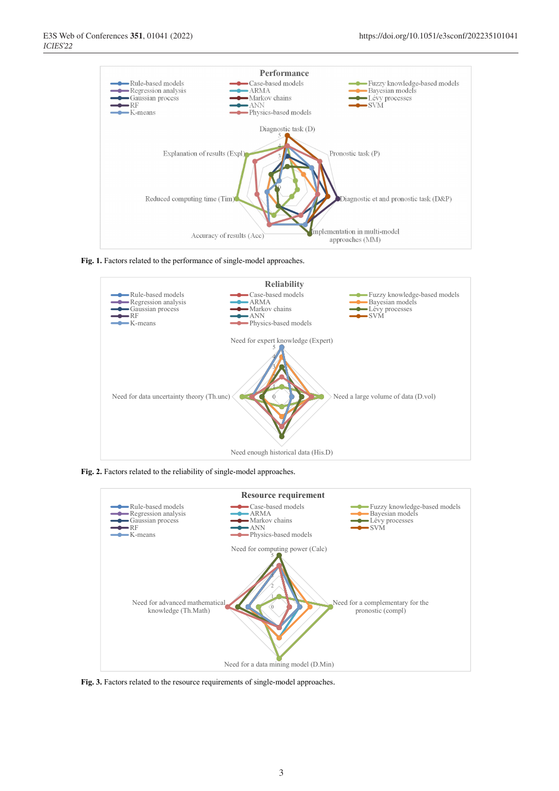

**Fig. 1.** Factors related to the performance of single-model approaches.



**Fig. 2.** Factors related to the reliability of single-model approaches.



**Fig. 3.** Factors related to the resource requirements of single-model approaches.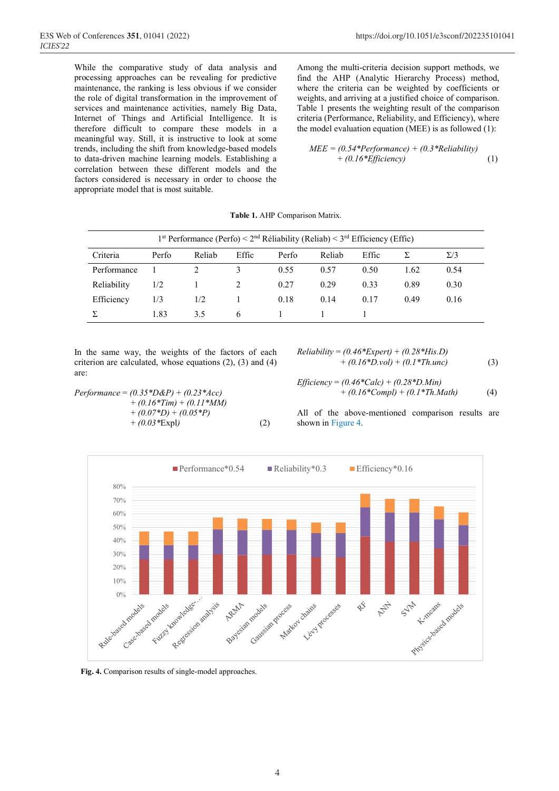While the comparative study of data analysis and processing approaches can be revealing for predictive maintenance, the ranking is less obvious if we consider the role of digital transformation in the improvement of services and maintenance activities, namely Big Data, Internet of Things and Artificial Intelligence. It is therefore difficult to compare these models in a meaningful way. Still, it is instructive to look at some trends, including the shift from knowledge-based models to data-driven machine learning models. Establishing a correlation between these different models and the factors considered is necessary in order to choose the appropriate model that is most suitable.

Among the multi-criteria decision support methods, we find the AHP (Analytic Hierarchy Process) method, where the criteria can be weighted by coefficients or weights, and arriving at a justified choice of comparison. Table 1 presents the weighting result of the comparison criteria (Performance, Reliability, and Efficiency), where the model evaluation equation (MEE) is as followed (1):

$$
MEE = (0.54*Performance) + (0.3*Reliability) + (0.16*Efficiency)
$$
 (1)

**Table 1.** AHP Comparison Matrix.

| 1 <sup>st</sup> Performance (Perfo) < $2nd$ Réliability (Reliab) < $3rd$ Efficiency (Effic) |       |        |       |       |        |       |      |            |
|---------------------------------------------------------------------------------------------|-------|--------|-------|-------|--------|-------|------|------------|
| Criteria                                                                                    | Perfo | Reliab | Effic | Perfo | Reliab | Effic |      | $\Sigma/3$ |
| Performance                                                                                 |       |        |       | 0.55  | 0.57   | 0.50  | 1.62 | 0.54       |
| Reliability                                                                                 | 1/2   |        |       | 0.27  | 0.29   | 0.33  | 0.89 | 0.30       |
| Efficiency                                                                                  | 1/3   | 1/2    |       | 0.18  | 0.14   | 0.17  | 0.49 | 0.16       |
|                                                                                             | 1.83  | 3.5    | 6     |       |        |       |      |            |

In the same way, the weights of the factors of each criterion are calculated, whose equations (2), (3) and (4) are:

> + *(0.16\*Tim)* + *(0.11\*MM)*  + *(0.07\*D)* + *(0.05\*P)*

+ *(0.03\**Expl*)* (2)

*Performance* = *(0.35\*D&P)* + *(0.23\*Acc)* 

Reliability = 
$$
(0.46*Expert) + (0.28*His.D)
$$
  
+  $(0.16*D.vol) + (0.1*Th.unc)$  (3)

*Efficiency* = 
$$
(0.46 \text{*} \text{Calc}) + (0.28 \text{*} \text{D}. \text{Min})
$$
  
+  $(0.16 \text{*} \text{Compl}) + (0.1 \text{*} \text{Th}. \text{Math})$  (4)

All of the above-mentioned comparison results are shown in Figure 4.



**Fig. 4.** Comparison results of single-model approaches.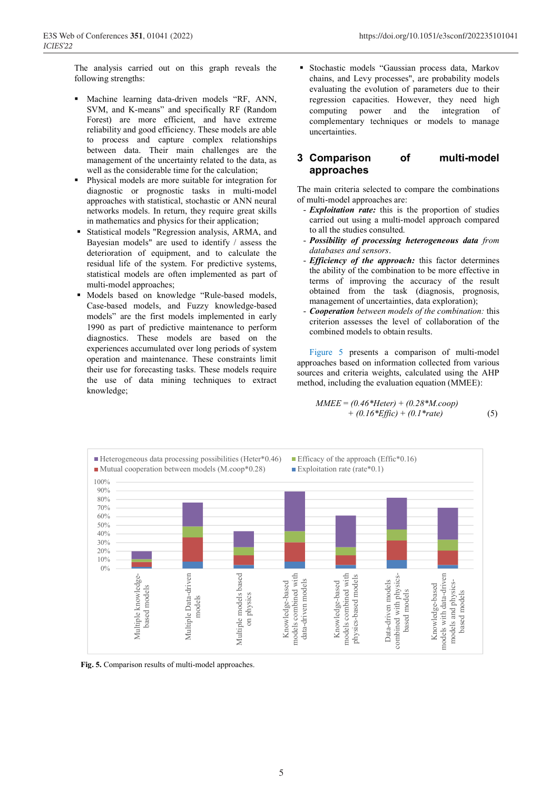The analysis carried out on this graph reveals the following strengths:

- Machine learning data-driven models "RF, ANN, SVM, and K-means" and specifically RF (Random Forest) are more efficient, and have extreme reliability and good efficiency. These models are able to process and capture complex relationships between data. Their main challenges are the management of the uncertainty related to the data, as well as the considerable time for the calculation;
- Physical models are more suitable for integration for diagnostic or prognostic tasks in multi-model approaches with statistical, stochastic or ANN neural networks models. In return, they require great skills in mathematics and physics for their application;
- Statistical models "Regression analysis, ARMA, and Bayesian models" are used to identify / assess the deterioration of equipment, and to calculate the residual life of the system. For predictive systems, statistical models are often implemented as part of multi-model approaches;
- Models based on knowledge "Rule-based models, Case-based models, and Fuzzy knowledge-based models" are the first models implemented in early 1990 as part of predictive maintenance to perform diagnostics. These models are based on the experiences accumulated over long periods of system operation and maintenance. These constraints limit their use for forecasting tasks. These models require the use of data mining techniques to extract knowledge;

 Stochastic models "Gaussian process data, Markov chains, and Levy processes", are probability models evaluating the evolution of parameters due to their regression capacities. However, they need high computing power and the integration of complementary techniques or models to manage uncertainties.

#### **3 Comparison of multi-model approaches**

The main criteria selected to compare the combinations of multi-model approaches are:

- *Exploitation rate:* this is the proportion of studies carried out using a multi-model approach compared to all the studies consulted.
- *Possibility of processing heterogeneous data from databases and sensors*.
- *Efficiency of the approach:* this factor determines the ability of the combination to be more effective in terms of improving the accuracy of the result obtained from the task (diagnosis, prognosis, management of uncertainties, data exploration);
- *Cooperation between models of the combination:* this criterion assesses the level of collaboration of the combined models to obtain results.

Figure 5 presents a comparison of multi-model approaches based on information collected from various sources and criteria weights, calculated using the AHP method, including the evaluation equation (MMEE):

$$
MMEE = (0.46*Heter) + (0.28*M.coop) + (0.16*Effic) + (0.1*rate)
$$
 (5)



**Fig. 5.** Comparison results of multi-model approaches.